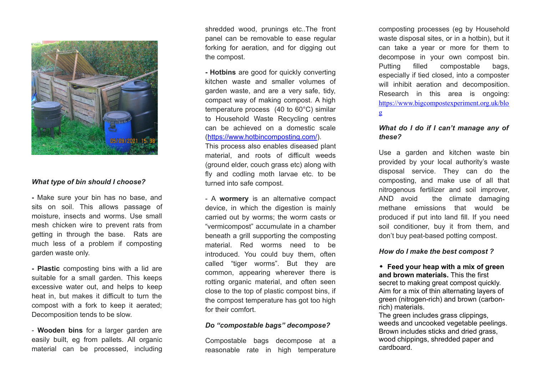

### *What type of bin should I choose?*

**-** Make sure your bin has no base, and sits on soil. This allows passage of moisture, insects and worms. Use small mesh chicken wire to prevent rats from getting in through the base. Rats are much less of a problem if composting garden waste only.

**- Plastic** composting bins with a lid are suitable for a small garden. This keeps excessive water out, and helps to keep heat in, but makes it difficult to turn the compost with a fork to keep it aerated; Decomposition tends to be slow.

- **Wooden bins** for a larger garden are easily built, eg from pallets. All organic material can be processed, including

shredded wood, prunings etc..The front panel can be removable to ease regular forking for aeration, and for digging out the compost.

**- Hotbins** are good for quickly converting kitchen waste and smaller volumes of garden waste, and are a very safe, tidy, compact way of making compost. A high temperature process (40 to 60°C) similar to Household Waste Recycling centres can be achieved on a domestic scale [\(https://www.hotbincomposting.com/\)](https://www.hotbincomposting.com/).

This process also enables diseased plant material, and roots of difficult weeds (ground elder, couch grass etc) along with fly and codling moth larvae etc. to be turned into safe compost.

- A **wormery** is an alternative compact device, in which the digestion is mainly carried out by worms; the worm casts or "vermicompost" accumulate in a chamber beneath a grill supporting the composting material. Red worms need to be introduced. You could buy them, often called "tiger worms". But they are common, appearing wherever there is rotting organic material, and often seen close to the top of plastic compost bins, if the compost temperature has got too high for their comfort.

#### *Do "compostable bags" decompose?*

Compostable bags decompose at a reasonable rate in high temperature composting processes (eg by Household waste disposal sites, or in a hotbin), but it can take a year or more for them to decompose in your own compost bin. Putting filled compostable bags, especially if tied closed, into a composter will inhibit aeration and decomposition. Research in this area is ongoing: [https://www.bigcompostexperiment.org.uk/blo](https://www.bigcompostexperiment.org.uk/blog) [g](https://www.bigcompostexperiment.org.uk/blog)

# *What do I do if I can't manage any of these?*

Use a garden and kitchen waste bin provided by your local authority's waste disposal service. They can do the composting, and make use of all that nitrogenous fertilizer and soil improver, AND avoid the climate damaging methane emissions that would be produced if put into land fill. If you need soil conditioner, buy it from them, and don't buy peat-based potting compost.

#### *How do I make the best compost ?*

! **Feed your heap with a mix of green and brown materials.** This the first secret to making great compost quickly. Aim for a mix of thin alternating layers of green (nitrogen-rich) and brown (carbonrich) materials.

The green includes grass clippings. weeds and uncooked vegetable peelings. Brown includes sticks and dried grass, wood chippings, shredded paper and cardboard.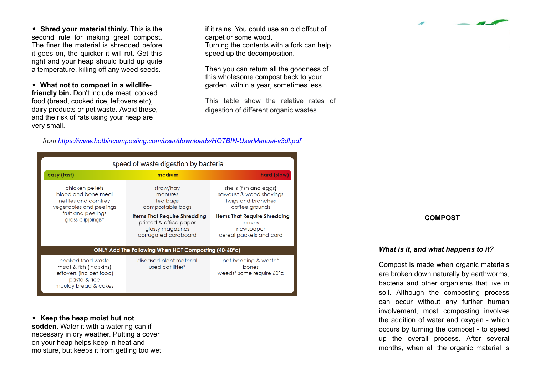! **Shred your material thinly.** This is the second rule for making great compost. The finer the material is shredded before it goes on, the quicker it will rot. Get this right and your heap should build up quite a temperature, killing off any weed seeds.

! **What not to compost in a wildlifefriendly bin.** Don't include meat, cooked food (bread, cooked rice, leftovers etc), dairy products or pet waste. Avoid these, and the risk of rats using your heap are very small.

if it rains. You could use an old offcut of carpet or some wood. Turning the contents with a fork can help speed up the decomposition.

Then you can return all the goodness of this wholesome compost back to your garden, within a year, sometimes less.

This table show the relative rates of digestion of different organic wastes .



| speed of waste digestion by bacteria                                                                                               |                                                                                                           |                                                                                           |
|------------------------------------------------------------------------------------------------------------------------------------|-----------------------------------------------------------------------------------------------------------|-------------------------------------------------------------------------------------------|
| easy (fast)                                                                                                                        | medium                                                                                                    | hard (slow)                                                                               |
| chicken pellets<br>blood and bone meal<br>nettles and comfrey<br>vegetables and peelings<br>fruit and peelings<br>grass clippings* | straw/hay<br>manures<br>tea bags<br>compostable bags                                                      | shells (fish and eggs)<br>sawdust & wood shavings<br>twigs and branches<br>coffee grounds |
|                                                                                                                                    | <b>Items That Require Shredding</b><br>printed & office paper<br>glossy magazines<br>corrugated cardboard | <b>Items That Require Shredding</b><br>leaves<br>newspaper<br>cereal packets and card     |
| ONLY Add The Following When HOT Composting $(40-60^{\circ}c)$                                                                      |                                                                                                           |                                                                                           |
| cooked food waste<br>meat & fish (inc skins)<br>leftovers (inc pet food)<br>pasta & rice<br>mouldy bread & cakes                   | diseased plant material<br>used cat litter*                                                               | pet bedding & waste*<br>bones<br>weeds* some require 60°c                                 |

! **Keep the heap moist but not sodden.** Water it with a watering can if necessary in dry weather. Putting a cover on your heap helps keep in heat and moisture, but keeps it from getting too wet

#### **COMPOST**

 $\overline{\phantom{a}}$ 

#### *What is it, and what happens to it?*

Compost is made when organic materials are broken down naturally by earthworms, bacteria and other organisms that live in soil. Although the composting process can occur without any further human involvement, most composting involves the addition of water and oxygen - which occurs by turning the compost - to speed up the overall process. After several months, when all the organic material is